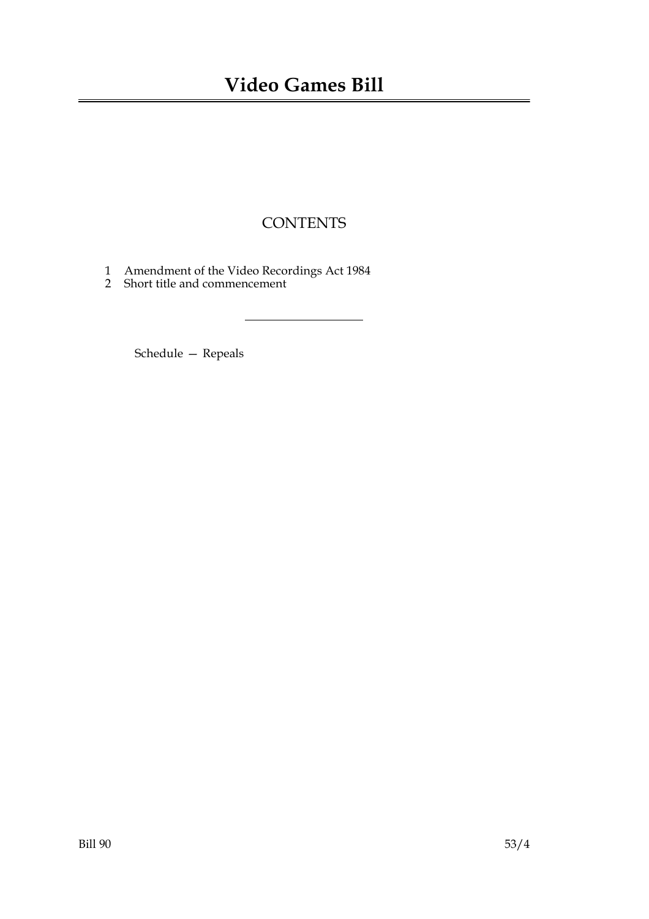## **CONTENTS**

- 1 Amendment of the Video Recordings Act 1984
- 2 Short title and commencement

Schedule — Repeals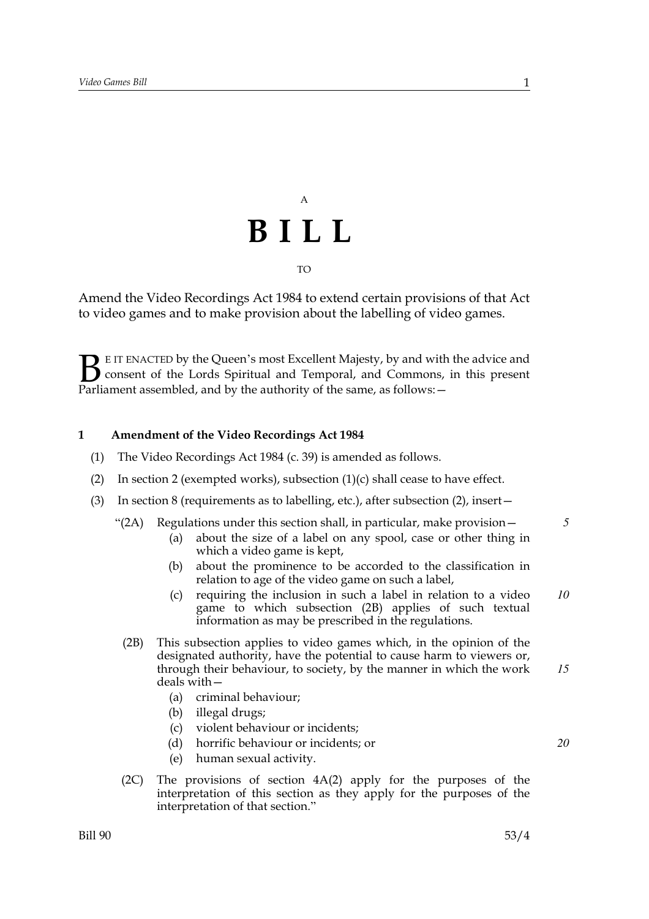## A **BILL** TO

Amend the Video Recordings Act 1984 to extend certain provisions of that Act to video games and to make provision about the labelling of video games.

E IT ENACTED by the Queen's most Excellent Majesty, by and with the advice and consent of the Lords Spiritual and Temporal, and Commons, in this present **B** E IT ENACTED by the Queen's most Excellent Majesty, by and with consent of the Lords Spiritual and Temporal, and Commons, Parliament assembled, and by the authority of the same, as follows:

#### **1 Amendment of the Video Recordings Act 1984**

- (1) The Video Recordings Act 1984 (c. 39) is amended as follows.
- (2) In section 2 (exempted works), subsection  $(1)(c)$  shall cease to have effect.
- (3) In section 8 (requirements as to labelling, etc.), after subsection (2), insert—
	- "(2A) Regulations under this section shall, in particular, make provision  $-$ 
		- (a) about the size of a label on any spool, case or other thing in which a video game is kept,
		- (b) about the prominence to be accorded to the classification in relation to age of the video game on such a label,
		- (c) requiring the inclusion in such a label in relation to a video game to which subsection (2B) applies of such textual information as may be prescribed in the regulations.
		- (2B) This subsection applies to video games which, in the opinion of the designated authority, have the potential to cause harm to viewers or, through their behaviour, to society, by the manner in which the work deals with— *15*
			- (a) criminal behaviour;
			- (b) illegal drugs;
			- (c) violent behaviour or incidents;
			- (d) horrific behaviour or incidents; or
			- (e) human sexual activity.
		- (2C) The provisions of section 4A(2) apply for the purposes of the interpretation of this section as they apply for the purposes of the interpretation of that section."

*5*

*10*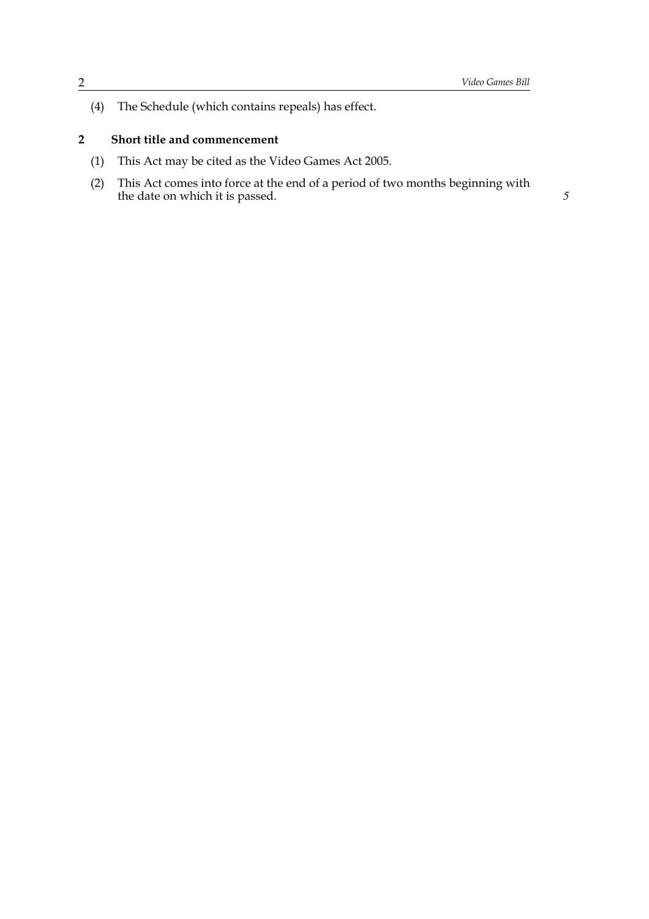(4) The Schedule (which contains repeals) has effect.

### **2 Short title and commencement**

- (1) This Act may be cited as the Video Games Act 2005.
- (2) This Act comes into force at the end of a period of two months beginning with the date on which it is passed. *5*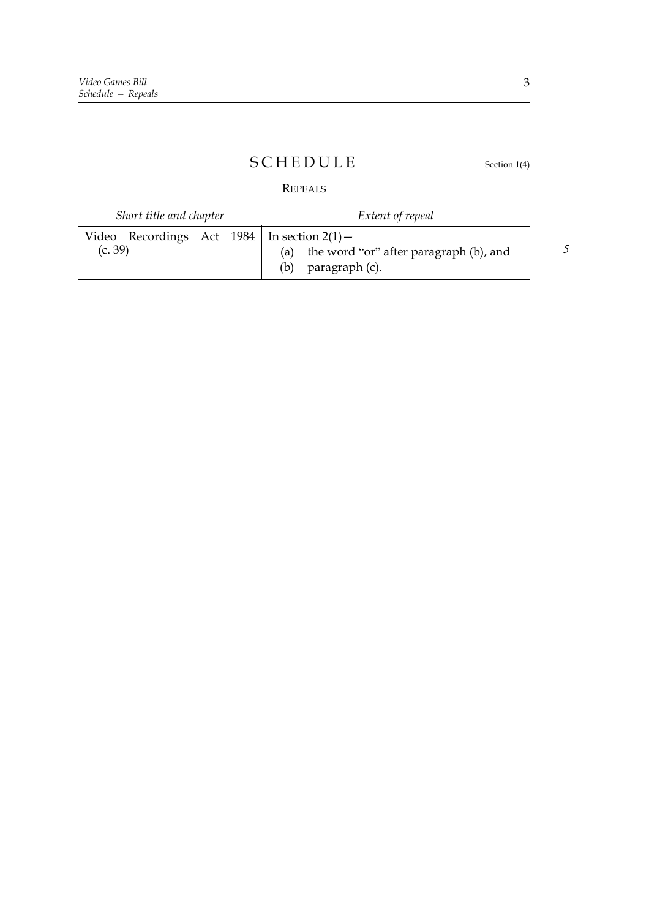### S C H E D U L E Section 1(4)

REPEALS

| Short title and chapter                                      | Extent of repeal                                                      |  |
|--------------------------------------------------------------|-----------------------------------------------------------------------|--|
| Video Recordings Act $1984$   In section $2(1)$ -<br>(c. 39) | (a) the word "or" after paragraph (b), and<br>$(b)$ paragraph $(c)$ . |  |